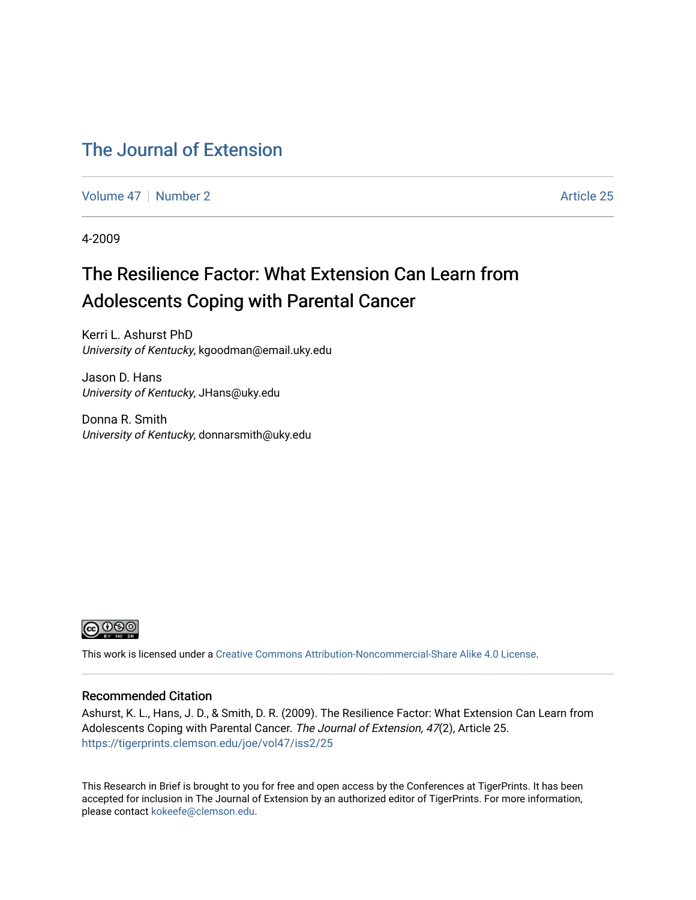### [The Journal of Extension](https://tigerprints.clemson.edu/joe)

[Volume 47](https://tigerprints.clemson.edu/joe/vol47) | [Number 2](https://tigerprints.clemson.edu/joe/vol47/iss2) Article 25

4-2009

### The Resilience Factor: What Extension Can Learn from Adolescents Coping with Parental Cancer

Kerri L. Ashurst PhD University of Kentucky, kgoodman@email.uky.edu

Jason D. Hans University of Kentucky, JHans@uky.edu

Donna R. Smith University of Kentucky, donnarsmith@uky.edu



This work is licensed under a [Creative Commons Attribution-Noncommercial-Share Alike 4.0 License.](https://creativecommons.org/licenses/by-nc-sa/4.0/)

#### Recommended Citation

Ashurst, K. L., Hans, J. D., & Smith, D. R. (2009). The Resilience Factor: What Extension Can Learn from Adolescents Coping with Parental Cancer. The Journal of Extension, 47(2), Article 25. <https://tigerprints.clemson.edu/joe/vol47/iss2/25>

This Research in Brief is brought to you for free and open access by the Conferences at TigerPrints. It has been accepted for inclusion in The Journal of Extension by an authorized editor of TigerPrints. For more information, please contact [kokeefe@clemson.edu](mailto:kokeefe@clemson.edu).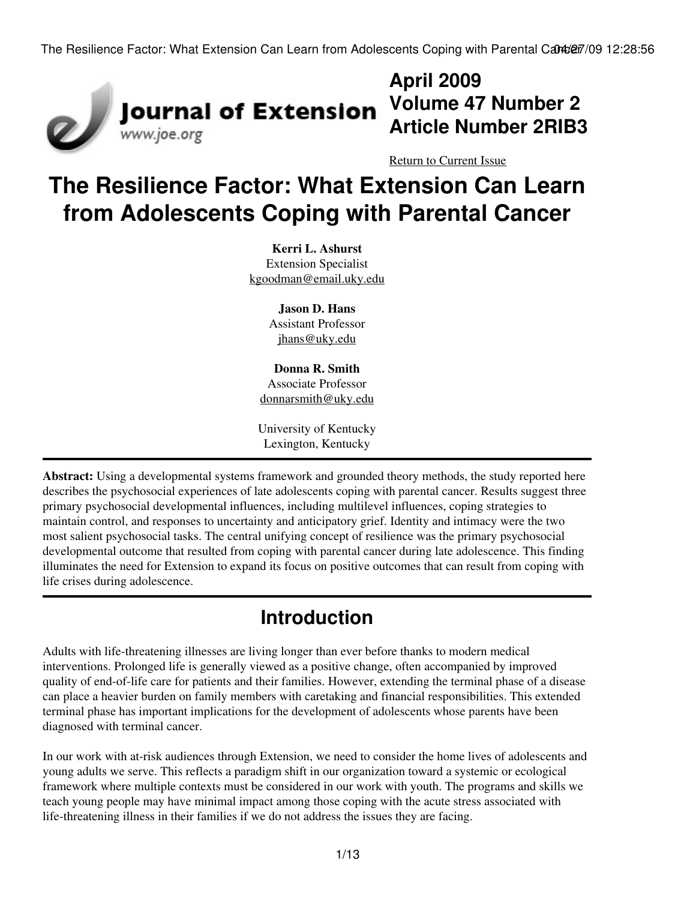

## **April 2009 Volume 47 Number 2 Article Number 2RIB3**

[Return to Current Issue](http://www.joe.org:80/joe/2009april/)

# **The Resilience Factor: What Extension Can Learn from Adolescents Coping with Parental Cancer**

**Kerri L. Ashurst** Extension Specialist [kgoodman@email.uky.edu](mailto:kgoodman@email.uky.edu)

> **Jason D. Hans** Assistant Professor [jhans@uky.edu](mailto:jhans@uky.edu)

**Donna R. Smith** Associate Professor [donnarsmith@uky.edu](mailto:donnarsmith@uky.edu)

University of Kentucky Lexington, Kentucky

**Abstract:** Using a developmental systems framework and grounded theory methods, the study reported here describes the psychosocial experiences of late adolescents coping with parental cancer. Results suggest three primary psychosocial developmental influences, including multilevel influences, coping strategies to maintain control, and responses to uncertainty and anticipatory grief. Identity and intimacy were the two most salient psychosocial tasks. The central unifying concept of resilience was the primary psychosocial developmental outcome that resulted from coping with parental cancer during late adolescence. This finding illuminates the need for Extension to expand its focus on positive outcomes that can result from coping with life crises during adolescence.

## **Introduction**

Adults with life-threatening illnesses are living longer than ever before thanks to modern medical interventions. Prolonged life is generally viewed as a positive change, often accompanied by improved quality of end-of-life care for patients and their families. However, extending the terminal phase of a disease can place a heavier burden on family members with caretaking and financial responsibilities. This extended terminal phase has important implications for the development of adolescents whose parents have been diagnosed with terminal cancer.

In our work with at-risk audiences through Extension, we need to consider the home lives of adolescents and young adults we serve. This reflects a paradigm shift in our organization toward a systemic or ecological framework where multiple contexts must be considered in our work with youth. The programs and skills we teach young people may have minimal impact among those coping with the acute stress associated with life-threatening illness in their families if we do not address the issues they are facing.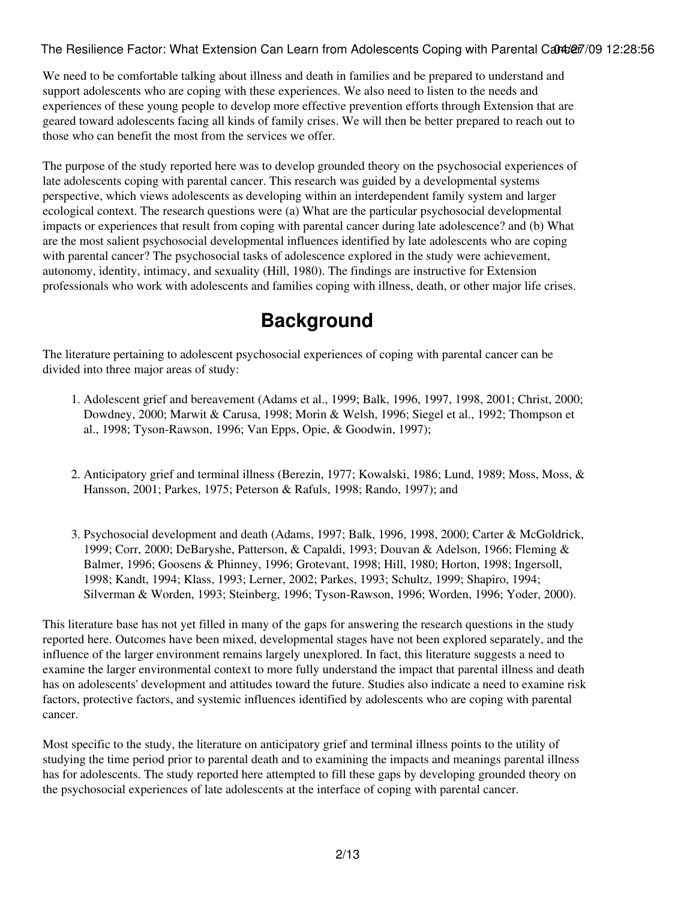We need to be comfortable talking about illness and death in families and be prepared to understand and support adolescents who are coping with these experiences. We also need to listen to the needs and experiences of these young people to develop more effective prevention efforts through Extension that are geared toward adolescents facing all kinds of family crises. We will then be better prepared to reach out to those who can benefit the most from the services we offer.

The purpose of the study reported here was to develop grounded theory on the psychosocial experiences of late adolescents coping with parental cancer. This research was guided by a developmental systems perspective, which views adolescents as developing within an interdependent family system and larger ecological context. The research questions were (a) What are the particular psychosocial developmental impacts or experiences that result from coping with parental cancer during late adolescence? and (b) What are the most salient psychosocial developmental influences identified by late adolescents who are coping with parental cancer? The psychosocial tasks of adolescence explored in the study were achievement, autonomy, identity, intimacy, and sexuality (Hill, 1980). The findings are instructive for Extension professionals who work with adolescents and families coping with illness, death, or other major life crises.

## **Background**

The literature pertaining to adolescent psychosocial experiences of coping with parental cancer can be divided into three major areas of study:

- 1. Adolescent grief and bereavement (Adams et al., 1999; Balk, 1996, 1997, 1998, 2001; Christ, 2000; Dowdney, 2000; Marwit & Carusa, 1998; Morin & Welsh, 1996; Siegel et al., 1992; Thompson et al., 1998; Tyson-Rawson, 1996; Van Epps, Opie, & Goodwin, 1997);
- 2. Anticipatory grief and terminal illness (Berezin, 1977; Kowalski, 1986; Lund, 1989; Moss, Moss, & Hansson, 2001; Parkes, 1975; Peterson & Rafuls, 1998; Rando, 1997); and
- 3. Psychosocial development and death (Adams, 1997; Balk, 1996, 1998, 2000; Carter & McGoldrick, 1999; Corr, 2000; DeBaryshe, Patterson, & Capaldi, 1993; Douvan & Adelson, 1966; Fleming & Balmer, 1996; Goosens & Phinney, 1996; Grotevant, 1998; Hill, 1980; Horton, 1998; Ingersoll, 1998; Kandt, 1994; Klass, 1993; Lerner, 2002; Parkes, 1993; Schultz, 1999; Shapiro, 1994; Silverman & Worden, 1993; Steinberg, 1996; Tyson-Rawson, 1996; Worden, 1996; Yoder, 2000).

This literature base has not yet filled in many of the gaps for answering the research questions in the study reported here. Outcomes have been mixed, developmental stages have not been explored separately, and the influence of the larger environment remains largely unexplored. In fact, this literature suggests a need to examine the larger environmental context to more fully understand the impact that parental illness and death has on adolescents' development and attitudes toward the future. Studies also indicate a need to examine risk factors, protective factors, and systemic influences identified by adolescents who are coping with parental cancer.

Most specific to the study, the literature on anticipatory grief and terminal illness points to the utility of studying the time period prior to parental death and to examining the impacts and meanings parental illness has for adolescents. The study reported here attempted to fill these gaps by developing grounded theory on the psychosocial experiences of late adolescents at the interface of coping with parental cancer.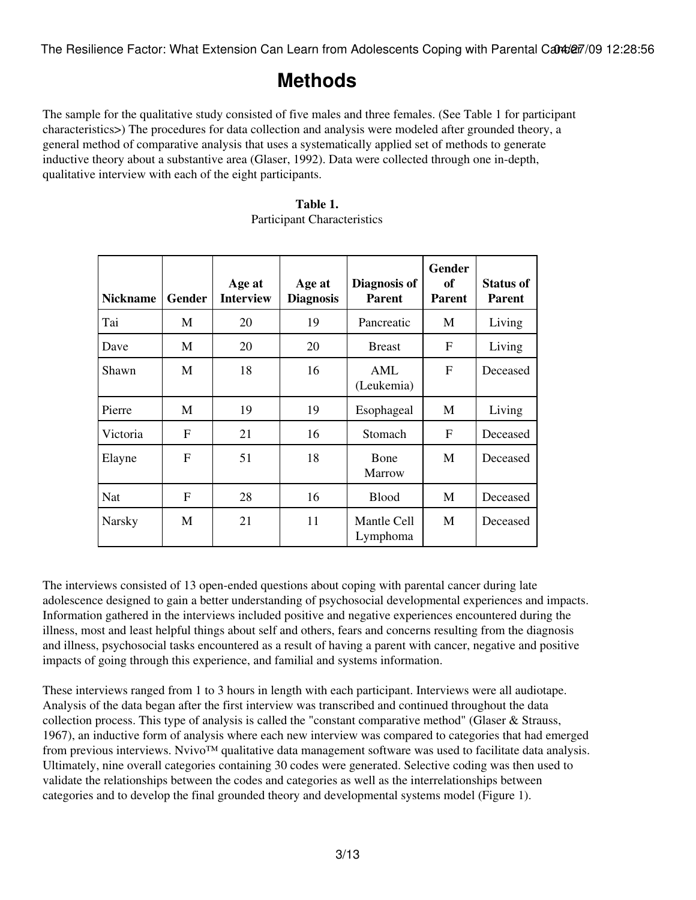### **Methods**

The sample for the qualitative study consisted of five males and three females. (See Table 1 for participant characteristics>) The procedures for data collection and analysis were modeled after grounded theory, a general method of comparative analysis that uses a systematically applied set of methods to generate inductive theory about a substantive area (Glaser, 1992). Data were collected through one in-depth, qualitative interview with each of the eight participants.

| <b>Nickname</b> | Gender | Age at<br><b>Interview</b> | Age at<br><b>Diagnosis</b> | Diagnosis of<br><b>Parent</b> | Gender<br>of<br><b>Parent</b> | <b>Status of</b><br><b>Parent</b> |
|-----------------|--------|----------------------------|----------------------------|-------------------------------|-------------------------------|-----------------------------------|
| Tai             | М      | 20                         | 19                         | Pancreatic                    | M                             | Living                            |
| Dave            | M      | 20                         | 20                         | <b>Breast</b>                 | F                             | Living                            |
| Shawn           | M      | 18                         | 16                         | AML<br>(Leukemia)             | F                             | Deceased                          |
| Pierre          | M      | 19                         | 19                         | Esophageal                    | M                             | Living                            |
| Victoria        | F      | 21                         | 16                         | Stomach                       | F                             | Deceased                          |
| Elayne          | F      | 51                         | 18                         | Bone<br>Marrow                | M                             | Deceased                          |
| Nat             | F      | 28                         | 16                         | <b>Blood</b>                  | M                             | Deceased                          |
| <b>Narsky</b>   | M      | 21                         | 11                         | Mantle Cell<br>Lymphoma       | M                             | Deceased                          |

#### **Table 1.** Participant Characteristics

The interviews consisted of 13 open-ended questions about coping with parental cancer during late adolescence designed to gain a better understanding of psychosocial developmental experiences and impacts. Information gathered in the interviews included positive and negative experiences encountered during the illness, most and least helpful things about self and others, fears and concerns resulting from the diagnosis and illness, psychosocial tasks encountered as a result of having a parent with cancer, negative and positive impacts of going through this experience, and familial and systems information.

These interviews ranged from 1 to 3 hours in length with each participant. Interviews were all audiotape. Analysis of the data began after the first interview was transcribed and continued throughout the data collection process. This type of analysis is called the "constant comparative method" (Glaser & Strauss, 1967), an inductive form of analysis where each new interview was compared to categories that had emerged from previous interviews. Nvivo™ qualitative data management software was used to facilitate data analysis. Ultimately, nine overall categories containing 30 codes were generated. Selective coding was then used to validate the relationships between the codes and categories as well as the interrelationships between categories and to develop the final grounded theory and developmental systems model (Figure 1).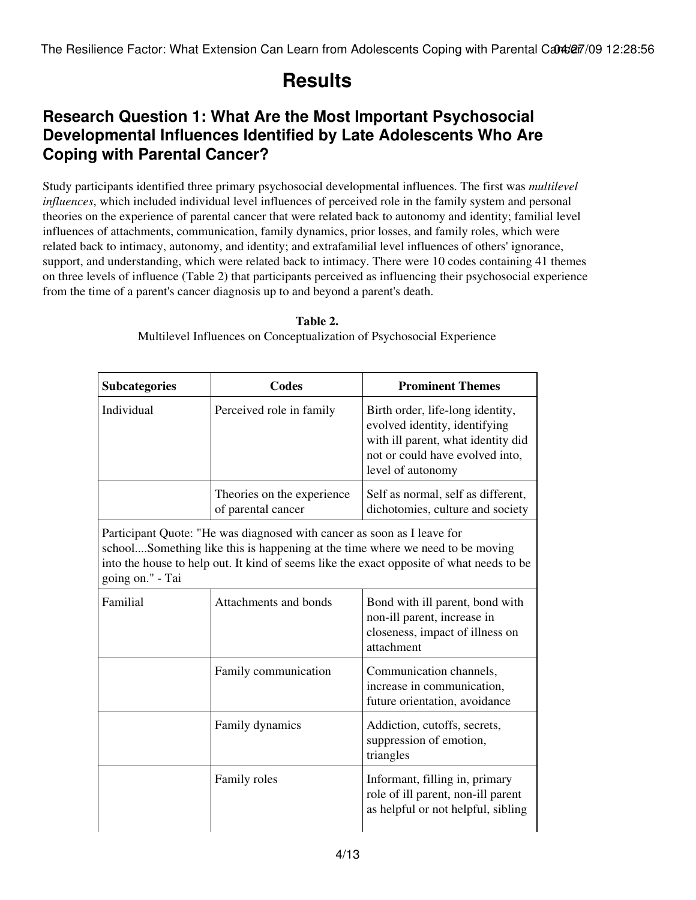### **Results**

### **Research Question 1: What Are the Most Important Psychosocial Developmental Influences Identified by Late Adolescents Who Are Coping with Parental Cancer?**

Study participants identified three primary psychosocial developmental influences. The first was *multilevel influences*, which included individual level influences of perceived role in the family system and personal theories on the experience of parental cancer that were related back to autonomy and identity; familial level influences of attachments, communication, family dynamics, prior losses, and family roles, which were related back to intimacy, autonomy, and identity; and extrafamilial level influences of others' ignorance, support, and understanding, which were related back to intimacy. There were 10 codes containing 41 themes on three levels of influence (Table 2) that participants perceived as influencing their psychosocial experience from the time of a parent's cancer diagnosis up to and beyond a parent's death.

| <b>Subcategories</b>                                                                                                                                                                                                                                                     | <b>Codes</b>                                     | <b>Prominent Themes</b>                                                                                                                                         |  |  |
|--------------------------------------------------------------------------------------------------------------------------------------------------------------------------------------------------------------------------------------------------------------------------|--------------------------------------------------|-----------------------------------------------------------------------------------------------------------------------------------------------------------------|--|--|
| Individual                                                                                                                                                                                                                                                               | Perceived role in family                         | Birth order, life-long identity,<br>evolved identity, identifying<br>with ill parent, what identity did<br>not or could have evolved into,<br>level of autonomy |  |  |
|                                                                                                                                                                                                                                                                          | Theories on the experience<br>of parental cancer | Self as normal, self as different,<br>dichotomies, culture and society                                                                                          |  |  |
| Participant Quote: "He was diagnosed with cancer as soon as I leave for<br>schoolSomething like this is happening at the time where we need to be moving<br>into the house to help out. It kind of seems like the exact opposite of what needs to be<br>going on." - Tai |                                                  |                                                                                                                                                                 |  |  |
| Familial                                                                                                                                                                                                                                                                 | Attachments and bonds                            | Bond with ill parent, bond with<br>non-ill parent, increase in<br>closeness, impact of illness on<br>attachment                                                 |  |  |
|                                                                                                                                                                                                                                                                          | Family communication                             | Communication channels,<br>increase in communication,<br>future orientation, avoidance                                                                          |  |  |
|                                                                                                                                                                                                                                                                          | Family dynamics                                  | Addiction, cutoffs, secrets,<br>suppression of emotion,<br>triangles                                                                                            |  |  |
|                                                                                                                                                                                                                                                                          | Family roles                                     | Informant, filling in, primary<br>role of ill parent, non-ill parent<br>as helpful or not helpful, sibling                                                      |  |  |

**Table 2.** Multilevel Influences on Conceptualization of Psychosocial Experience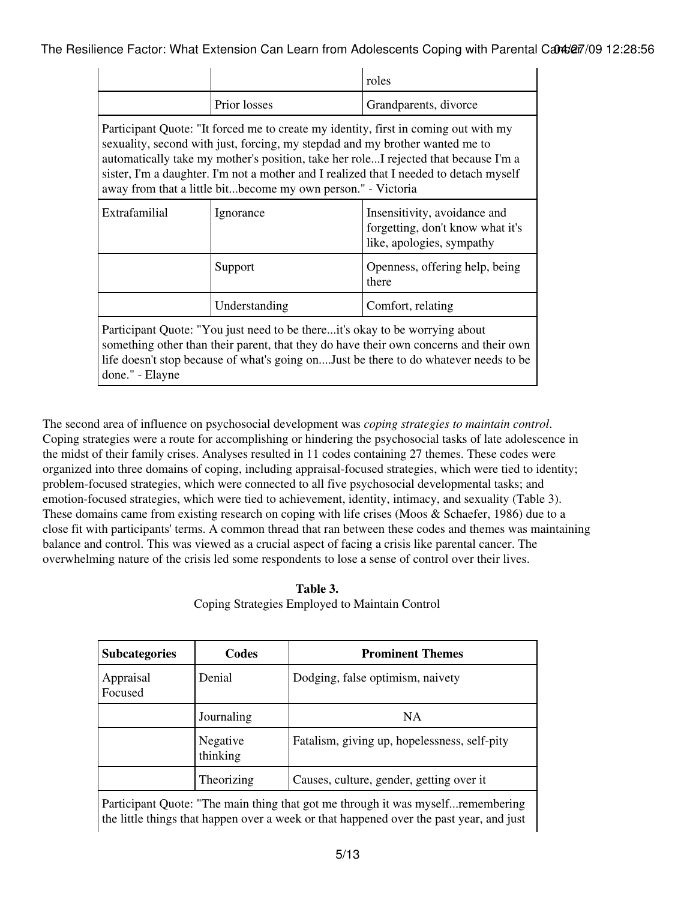|                                                                                                                                                                                                                                                                                                                                                                                                                      |               | roles                                                                                         |  |
|----------------------------------------------------------------------------------------------------------------------------------------------------------------------------------------------------------------------------------------------------------------------------------------------------------------------------------------------------------------------------------------------------------------------|---------------|-----------------------------------------------------------------------------------------------|--|
|                                                                                                                                                                                                                                                                                                                                                                                                                      | Prior losses  | Grandparents, divorce                                                                         |  |
| Participant Quote: "It forced me to create my identity, first in coming out with my<br>sexuality, second with just, forcing, my stepdad and my brother wanted me to<br>automatically take my mother's position, take her roleI rejected that because I'm a<br>sister, I'm a daughter. I'm not a mother and I realized that I needed to detach myself<br>away from that a little bitbecome my own person." - Victoria |               |                                                                                               |  |
| Extrafamilial                                                                                                                                                                                                                                                                                                                                                                                                        | Ignorance     | Insensitivity, avoidance and<br>forgetting, don't know what it's<br>like, apologies, sympathy |  |
|                                                                                                                                                                                                                                                                                                                                                                                                                      | Support       | Openness, offering help, being<br>there                                                       |  |
|                                                                                                                                                                                                                                                                                                                                                                                                                      | Understanding | Comfort, relating                                                                             |  |
| Participant Quote: "You just need to be thereit's okay to be worrying about<br>something other than their parent, that they do have their own concerns and their own<br>life doesn't stop because of what's going on Just be there to do whatever needs to be<br>done." - Elayne                                                                                                                                     |               |                                                                                               |  |

The second area of influence on psychosocial development was *coping strategies to maintain control*. Coping strategies were a route for accomplishing or hindering the psychosocial tasks of late adolescence in the midst of their family crises. Analyses resulted in 11 codes containing 27 themes. These codes were organized into three domains of coping, including appraisal-focused strategies, which were tied to identity; problem-focused strategies, which were connected to all five psychosocial developmental tasks; and emotion-focused strategies, which were tied to achievement, identity, intimacy, and sexuality (Table 3). These domains came from existing research on coping with life crises (Moos & Schaefer, 1986) due to a close fit with participants' terms. A common thread that ran between these codes and themes was maintaining balance and control. This was viewed as a crucial aspect of facing a crisis like parental cancer. The overwhelming nature of the crisis led some respondents to lose a sense of control over their lives.

| Table 3.                                       |
|------------------------------------------------|
| Coping Strategies Employed to Maintain Control |

| <b>Subcategories</b> | Codes                | <b>Prominent Themes</b>                      |
|----------------------|----------------------|----------------------------------------------|
| Appraisal<br>Focused | Denial               | Dodging, false optimism, naivety             |
|                      | Journaling           | <b>NA</b>                                    |
|                      | Negative<br>thinking | Fatalism, giving up, hopelessness, self-pity |
|                      | Theorizing           | Causes, culture, gender, getting over it     |

Participant Quote: "The main thing that got me through it was myself...remembering the little things that happen over a week or that happened over the past year, and just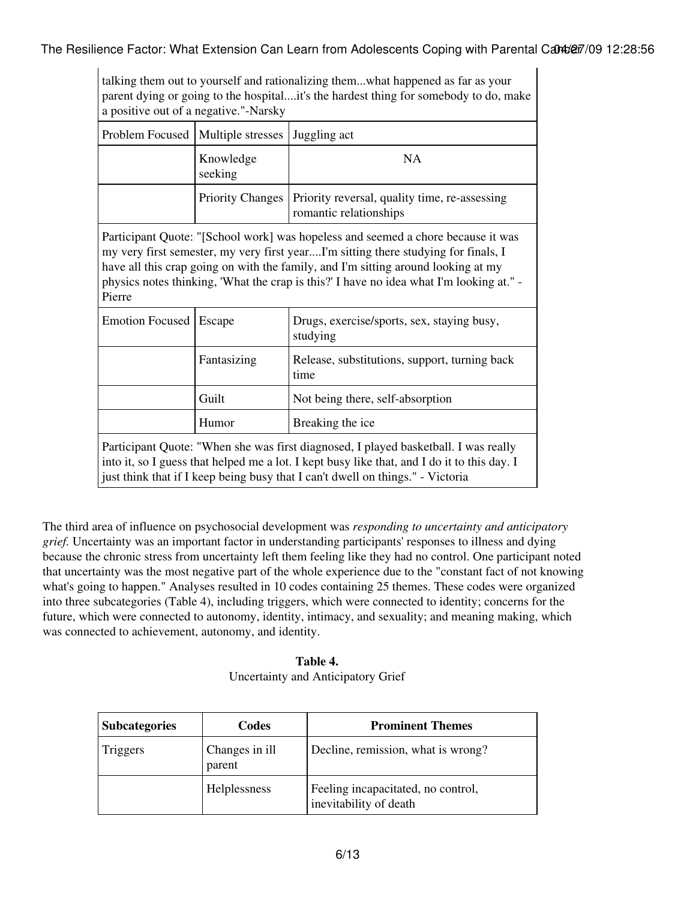|                        | a positive out of a negative."-Narsky | talking them out to yourself and rationalizing themwhat happened as far as your<br>parent dying or going to the hospitalit's the hardest thing for somebody to do, make                                                                                                                                                                                |  |
|------------------------|---------------------------------------|--------------------------------------------------------------------------------------------------------------------------------------------------------------------------------------------------------------------------------------------------------------------------------------------------------------------------------------------------------|--|
| Problem Focused        | Multiple stresses                     | Juggling act                                                                                                                                                                                                                                                                                                                                           |  |
|                        | Knowledge<br>seeking                  | <b>NA</b>                                                                                                                                                                                                                                                                                                                                              |  |
|                        | <b>Priority Changes</b>               | Priority reversal, quality time, re-assessing<br>romantic relationships                                                                                                                                                                                                                                                                                |  |
| Pierre                 |                                       | Participant Quote: "[School work] was hopeless and seemed a chore because it was<br>my very first semester, my very first yearI'm sitting there studying for finals, I<br>have all this crap going on with the family, and I'm sitting around looking at my<br>physics notes thinking, 'What the crap is this?' I have no idea what I'm looking at." - |  |
| <b>Emotion Focused</b> | Escape                                | Drugs, exercise/sports, sex, staying busy,<br>studying                                                                                                                                                                                                                                                                                                 |  |
|                        | Fantasizing                           | Release, substitutions, support, turning back<br>time                                                                                                                                                                                                                                                                                                  |  |
|                        | Guilt                                 | Not being there, self-absorption                                                                                                                                                                                                                                                                                                                       |  |
|                        | Humor                                 | Breaking the ice                                                                                                                                                                                                                                                                                                                                       |  |
|                        |                                       | Participant Quote: "When she was first diagnosed, I played basketball. I was really<br>into it, so I guess that helped me a lot. I kept busy like that, and I do it to this day. I<br>just think that if I keep being busy that I can't dwell on things." - Victoria                                                                                   |  |

The third area of influence on psychosocial development was *responding to uncertainty and anticipatory grief.* Uncertainty was an important factor in understanding participants' responses to illness and dying because the chronic stress from uncertainty left them feeling like they had no control. One participant noted that uncertainty was the most negative part of the whole experience due to the "constant fact of not knowing what's going to happen." Analyses resulted in 10 codes containing 25 themes. These codes were organized into three subcategories (Table 4), including triggers, which were connected to identity; concerns for the future, which were connected to autonomy, identity, intimacy, and sexuality; and meaning making, which was connected to achievement, autonomy, and identity.

**Table 4.** Uncertainty and Anticipatory Grief

| <b>Subcategories</b> | Codes                    | <b>Prominent Themes</b>                                      |
|----------------------|--------------------------|--------------------------------------------------------------|
| Triggers             | Changes in ill<br>parent | Decline, remission, what is wrong?                           |
|                      | Helplessness             | Feeling incapacitated, no control,<br>inevitability of death |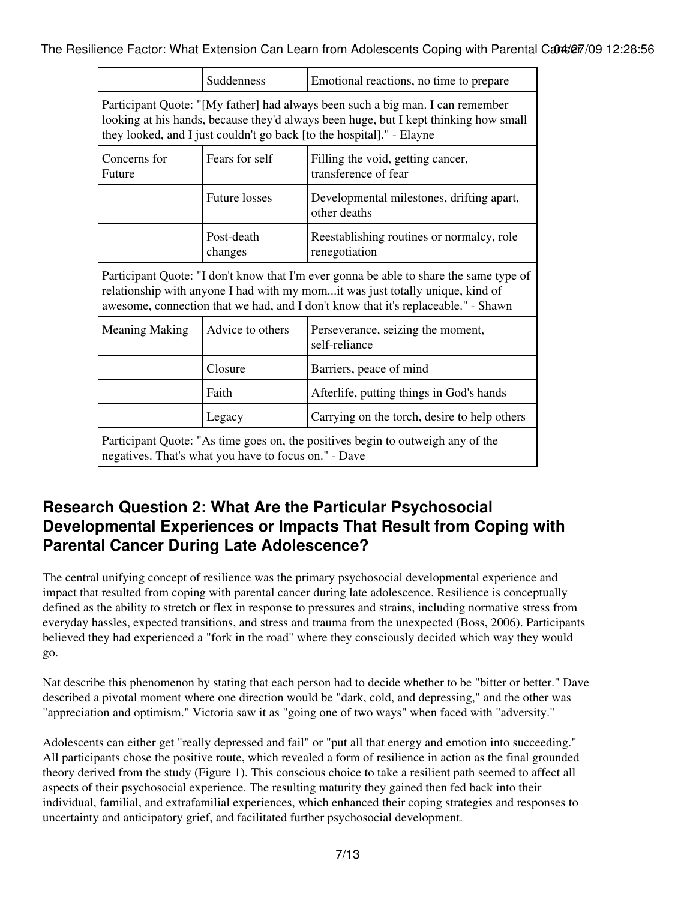|                                                                                                                                                                                                                                                              | Suddenness                                                                  | Emotional reactions, no time to prepare                    |  |  |
|--------------------------------------------------------------------------------------------------------------------------------------------------------------------------------------------------------------------------------------------------------------|-----------------------------------------------------------------------------|------------------------------------------------------------|--|--|
| Participant Quote: "[My father] had always been such a big man. I can remember<br>looking at his hands, because they'd always been huge, but I kept thinking how small<br>they looked, and I just couldn't go back [to the hospital]." - Elayne              |                                                                             |                                                            |  |  |
| Concerns for<br>Future                                                                                                                                                                                                                                       | Fears for self<br>Filling the void, getting cancer,<br>transference of fear |                                                            |  |  |
|                                                                                                                                                                                                                                                              | <b>Future losses</b>                                                        | Developmental milestones, drifting apart,<br>other deaths  |  |  |
|                                                                                                                                                                                                                                                              | Post-death<br>changes                                                       | Reestablishing routines or normalcy, role<br>renegotiation |  |  |
| Participant Quote: "I don't know that I'm ever gonna be able to share the same type of<br>relationship with anyone I had with my momit was just totally unique, kind of<br>awesome, connection that we had, and I don't know that it's replaceable." - Shawn |                                                                             |                                                            |  |  |
| <b>Meaning Making</b>                                                                                                                                                                                                                                        | Advice to others                                                            | Perseverance, seizing the moment,<br>self-reliance         |  |  |
|                                                                                                                                                                                                                                                              | Closure                                                                     | Barriers, peace of mind                                    |  |  |
|                                                                                                                                                                                                                                                              | Faith                                                                       | Afterlife, putting things in God's hands                   |  |  |
|                                                                                                                                                                                                                                                              | Legacy                                                                      | Carrying on the torch, desire to help others               |  |  |
| Participant Quote: "As time goes on, the positives begin to outweigh any of the<br>negatives. That's what you have to focus on." - Dave                                                                                                                      |                                                                             |                                                            |  |  |

### **Research Question 2: What Are the Particular Psychosocial Developmental Experiences or Impacts That Result from Coping with Parental Cancer During Late Adolescence?**

The central unifying concept of resilience was the primary psychosocial developmental experience and impact that resulted from coping with parental cancer during late adolescence. Resilience is conceptually defined as the ability to stretch or flex in response to pressures and strains, including normative stress from everyday hassles, expected transitions, and stress and trauma from the unexpected (Boss, 2006). Participants believed they had experienced a "fork in the road" where they consciously decided which way they would go.

Nat describe this phenomenon by stating that each person had to decide whether to be "bitter or better." Dave described a pivotal moment where one direction would be "dark, cold, and depressing," and the other was "appreciation and optimism." Victoria saw it as "going one of two ways" when faced with "adversity."

Adolescents can either get "really depressed and fail" or "put all that energy and emotion into succeeding." All participants chose the positive route, which revealed a form of resilience in action as the final grounded theory derived from the study (Figure 1). This conscious choice to take a resilient path seemed to affect all aspects of their psychosocial experience. The resulting maturity they gained then fed back into their individual, familial, and extrafamilial experiences, which enhanced their coping strategies and responses to uncertainty and anticipatory grief, and facilitated further psychosocial development.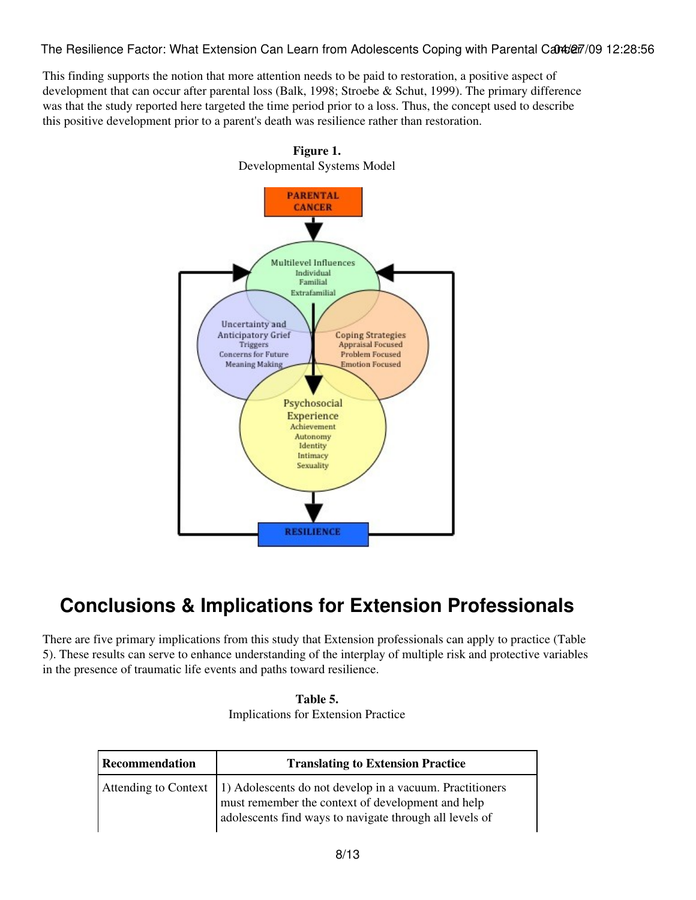This finding supports the notion that more attention needs to be paid to restoration, a positive aspect of development that can occur after parental loss (Balk, 1998; Stroebe & Schut, 1999). The primary difference was that the study reported here targeted the time period prior to a loss. Thus, the concept used to describe this positive development prior to a parent's death was resilience rather than restoration.



### **Conclusions & Implications for Extension Professionals**

There are five primary implications from this study that Extension professionals can apply to practice (Table 5). These results can serve to enhance understanding of the interplay of multiple risk and protective variables in the presence of traumatic life events and paths toward resilience.

| Table 5.                                   |  |
|--------------------------------------------|--|
| <b>Implications for Extension Practice</b> |  |

| <b>Recommendation</b>       | <b>Translating to Extension Practice</b>                                                                                                                                 |
|-----------------------------|--------------------------------------------------------------------------------------------------------------------------------------------------------------------------|
| <b>Attending to Context</b> | 1) Adolescents do not develop in a vacuum. Practitioners<br>must remember the context of development and help<br>adolescents find ways to navigate through all levels of |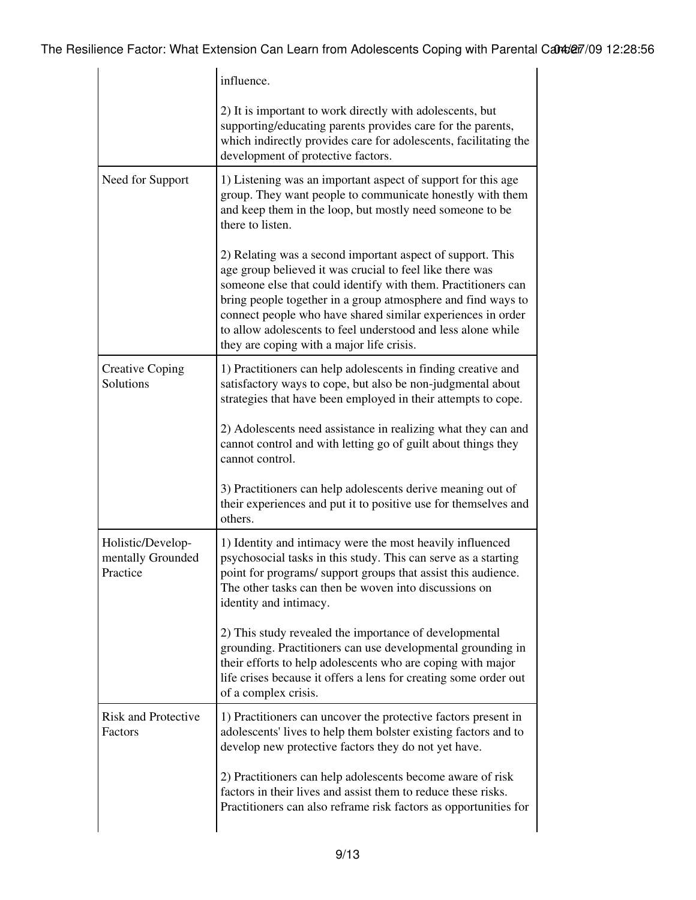|                                                    | influence.                                                                                                                                                                                                                                                                                                                                                                                                                          |  |
|----------------------------------------------------|-------------------------------------------------------------------------------------------------------------------------------------------------------------------------------------------------------------------------------------------------------------------------------------------------------------------------------------------------------------------------------------------------------------------------------------|--|
|                                                    | 2) It is important to work directly with adolescents, but<br>supporting/educating parents provides care for the parents,<br>which indirectly provides care for adolescents, facilitating the<br>development of protective factors.                                                                                                                                                                                                  |  |
| Need for Support                                   | 1) Listening was an important aspect of support for this age<br>group. They want people to communicate honestly with them<br>and keep them in the loop, but mostly need someone to be<br>there to listen.                                                                                                                                                                                                                           |  |
|                                                    | 2) Relating was a second important aspect of support. This<br>age group believed it was crucial to feel like there was<br>someone else that could identify with them. Practitioners can<br>bring people together in a group atmosphere and find ways to<br>connect people who have shared similar experiences in order<br>to allow adolescents to feel understood and less alone while<br>they are coping with a major life crisis. |  |
| <b>Creative Coping</b><br>Solutions                | 1) Practitioners can help adolescents in finding creative and<br>satisfactory ways to cope, but also be non-judgmental about<br>strategies that have been employed in their attempts to cope.                                                                                                                                                                                                                                       |  |
|                                                    | 2) Adolescents need assistance in realizing what they can and<br>cannot control and with letting go of guilt about things they<br>cannot control.                                                                                                                                                                                                                                                                                   |  |
|                                                    | 3) Practitioners can help adolescents derive meaning out of<br>their experiences and put it to positive use for themselves and<br>others.                                                                                                                                                                                                                                                                                           |  |
| Holistic/Develop-<br>mentally Grounded<br>Practice | 1) Identity and intimacy were the most heavily influenced<br>psychosocial tasks in this study. This can serve as a starting<br>point for programs/ support groups that assist this audience<br>The other tasks can then be woven into discussions on<br>identity and intimacy.                                                                                                                                                      |  |
|                                                    | 2) This study revealed the importance of developmental<br>grounding. Practitioners can use developmental grounding in<br>their efforts to help adolescents who are coping with major<br>life crises because it offers a lens for creating some order out<br>of a complex crisis.                                                                                                                                                    |  |
| <b>Risk and Protective</b><br>Factors              | 1) Practitioners can uncover the protective factors present in<br>adolescents' lives to help them bolster existing factors and to<br>develop new protective factors they do not yet have.                                                                                                                                                                                                                                           |  |
|                                                    | 2) Practitioners can help adolescents become aware of risk<br>factors in their lives and assist them to reduce these risks.<br>Practitioners can also reframe risk factors as opportunities for                                                                                                                                                                                                                                     |  |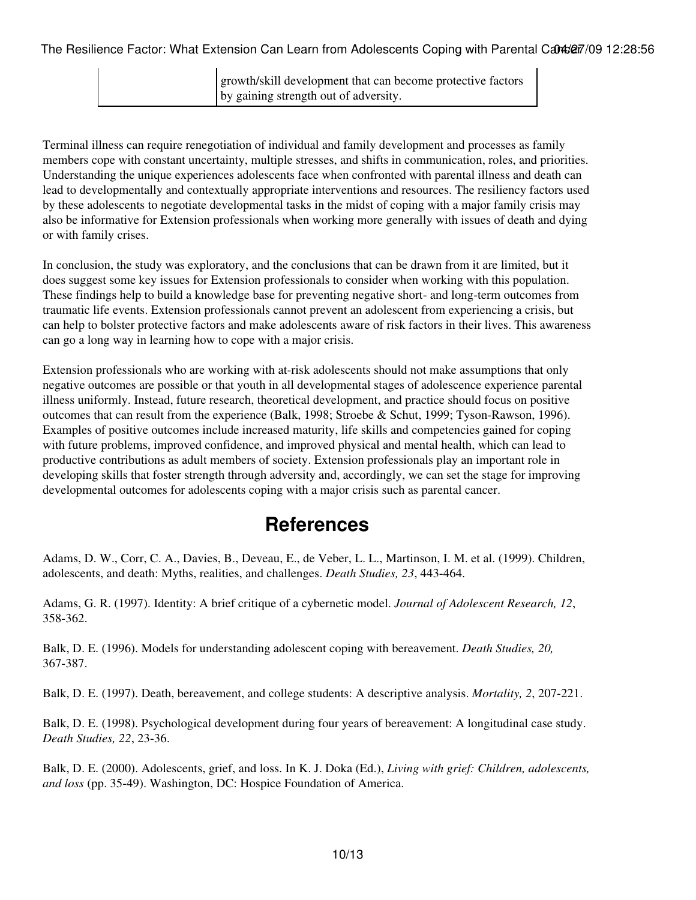| growth/skill development that can become protective factors |  |
|-------------------------------------------------------------|--|
| by gaining strength out of adversity.                       |  |

Terminal illness can require renegotiation of individual and family development and processes as family members cope with constant uncertainty, multiple stresses, and shifts in communication, roles, and priorities. Understanding the unique experiences adolescents face when confronted with parental illness and death can lead to developmentally and contextually appropriate interventions and resources. The resiliency factors used by these adolescents to negotiate developmental tasks in the midst of coping with a major family crisis may also be informative for Extension professionals when working more generally with issues of death and dying or with family crises.

In conclusion, the study was exploratory, and the conclusions that can be drawn from it are limited, but it does suggest some key issues for Extension professionals to consider when working with this population. These findings help to build a knowledge base for preventing negative short- and long-term outcomes from traumatic life events. Extension professionals cannot prevent an adolescent from experiencing a crisis, but can help to bolster protective factors and make adolescents aware of risk factors in their lives. This awareness can go a long way in learning how to cope with a major crisis.

Extension professionals who are working with at-risk adolescents should not make assumptions that only negative outcomes are possible or that youth in all developmental stages of adolescence experience parental illness uniformly. Instead, future research, theoretical development, and practice should focus on positive outcomes that can result from the experience (Balk, 1998; Stroebe & Schut, 1999; Tyson-Rawson, 1996). Examples of positive outcomes include increased maturity, life skills and competencies gained for coping with future problems, improved confidence, and improved physical and mental health, which can lead to productive contributions as adult members of society. Extension professionals play an important role in developing skills that foster strength through adversity and, accordingly, we can set the stage for improving developmental outcomes for adolescents coping with a major crisis such as parental cancer.

### **References**

Adams, D. W., Corr, C. A., Davies, B., Deveau, E., de Veber, L. L., Martinson, I. M. et al. (1999). Children, adolescents, and death: Myths, realities, and challenges. *Death Studies, 23*, 443-464.

Adams, G. R. (1997). Identity: A brief critique of a cybernetic model. *Journal of Adolescent Research, 12*, 358-362.

Balk, D. E. (1996). Models for understanding adolescent coping with bereavement. *Death Studies, 20,* 367-387.

Balk, D. E. (1997). Death, bereavement, and college students: A descriptive analysis. *Mortality, 2*, 207-221.

Balk, D. E. (1998). Psychological development during four years of bereavement: A longitudinal case study. *Death Studies, 22*, 23-36.

Balk, D. E. (2000). Adolescents, grief, and loss. In K. J. Doka (Ed.), *Living with grief: Children, adolescents, and loss* (pp. 35-49). Washington, DC: Hospice Foundation of America.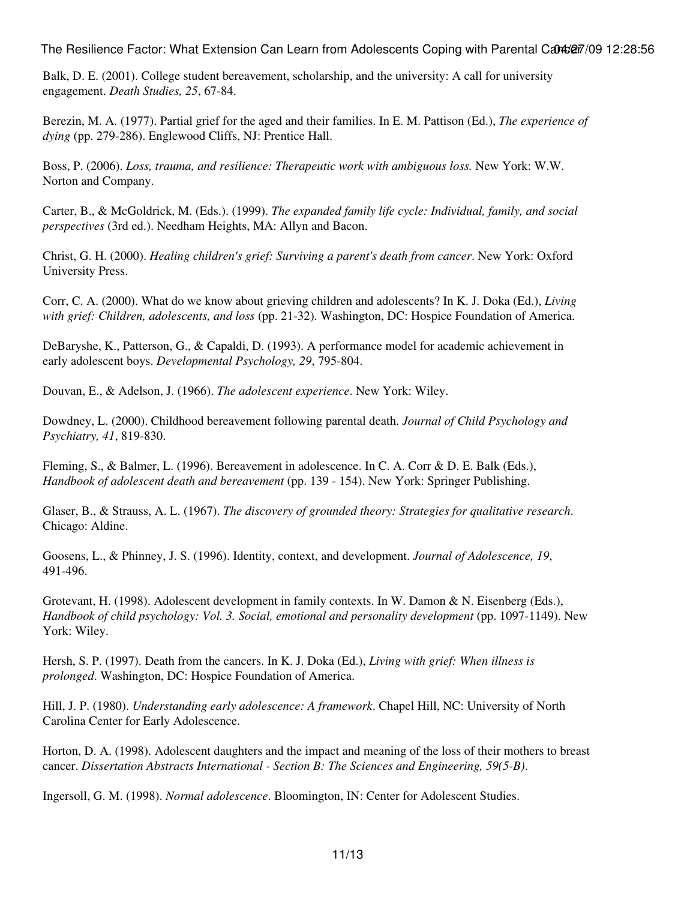Balk, D. E. (2001). College student bereavement, scholarship, and the university: A call for university engagement. *Death Studies, 25*, 67-84.

Berezin, M. A. (1977). Partial grief for the aged and their families. In E. M. Pattison (Ed.), *The experience of dying* (pp. 279-286). Englewood Cliffs, NJ: Prentice Hall.

Boss, P. (2006). *Loss, trauma, and resilience: Therapeutic work with ambiguous loss.* New York: W.W. Norton and Company.

Carter, B., & McGoldrick, M. (Eds.). (1999). *The expanded family life cycle: Individual, family, and social perspectives* (3rd ed.). Needham Heights, MA: Allyn and Bacon.

Christ, G. H. (2000). *Healing children's grief: Surviving a parent's death from cancer*. New York: Oxford University Press.

Corr, C. A. (2000). What do we know about grieving children and adolescents? In K. J. Doka (Ed.), *Living with grief: Children, adolescents, and loss* (pp. 21-32). Washington, DC: Hospice Foundation of America.

DeBaryshe, K., Patterson, G., & Capaldi, D. (1993). A performance model for academic achievement in early adolescent boys. *Developmental Psychology, 29*, 795-804.

Douvan, E., & Adelson, J. (1966). *The adolescent experience*. New York: Wiley.

Dowdney, L. (2000). Childhood bereavement following parental death. *Journal of Child Psychology and Psychiatry, 41*, 819-830.

Fleming, S., & Balmer, L. (1996). Bereavement in adolescence. In C. A. Corr & D. E. Balk (Eds.), *Handbook of adolescent death and bereavement* (pp. 139 - 154). New York: Springer Publishing.

Glaser, B., & Strauss, A. L. (1967). *The discovery of grounded theory: Strategies for qualitative research*. Chicago: Aldine.

Goosens, L., & Phinney, J. S. (1996). Identity, context, and development. *Journal of Adolescence, 19*, 491-496.

Grotevant, H. (1998). Adolescent development in family contexts. In W. Damon & N. Eisenberg (Eds.), *Handbook of child psychology: Vol. 3. Social, emotional and personality development* (pp. 1097-1149). New York: Wiley.

Hersh, S. P. (1997). Death from the cancers. In K. J. Doka (Ed.), *Living with grief: When illness is prolonged*. Washington, DC: Hospice Foundation of America.

Hill, J. P. (1980). *Understanding early adolescence: A framework*. Chapel Hill, NC: University of North Carolina Center for Early Adolescence.

Horton, D. A. (1998). Adolescent daughters and the impact and meaning of the loss of their mothers to breast cancer. *Dissertation Abstracts International - Section B: The Sciences and Engineering, 59(5-B)*.

Ingersoll, G. M. (1998). *Normal adolescence*. Bloomington, IN: Center for Adolescent Studies.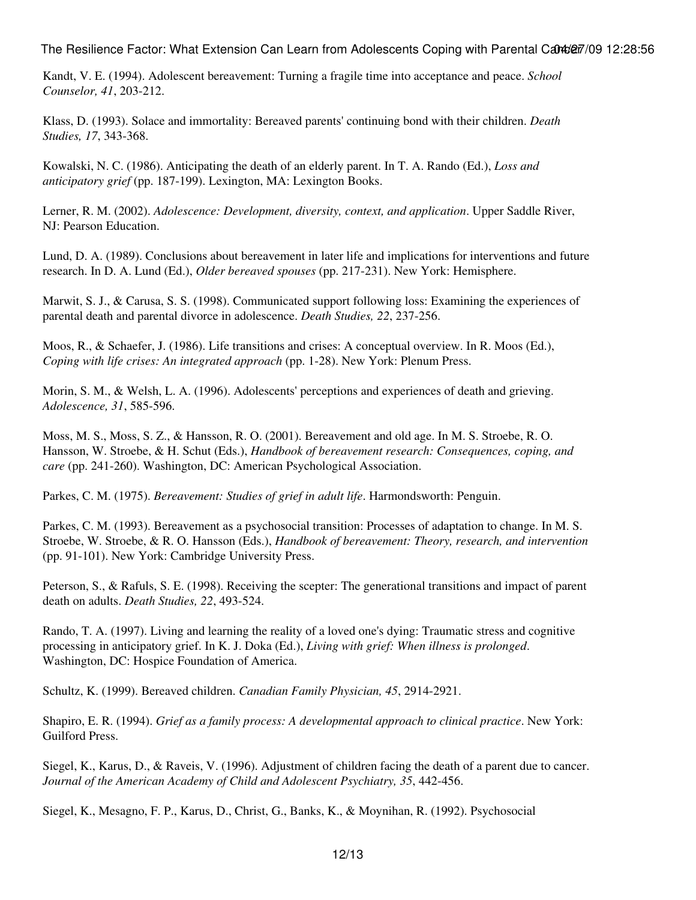Kandt, V. E. (1994). Adolescent bereavement: Turning a fragile time into acceptance and peace. *School Counselor, 41*, 203-212.

Klass, D. (1993). Solace and immortality: Bereaved parents' continuing bond with their children. *Death Studies, 17*, 343-368.

Kowalski, N. C. (1986). Anticipating the death of an elderly parent. In T. A. Rando (Ed.), *Loss and anticipatory grief* (pp. 187-199). Lexington, MA: Lexington Books.

Lerner, R. M. (2002). *Adolescence: Development, diversity, context, and application*. Upper Saddle River, NJ: Pearson Education.

Lund, D. A. (1989). Conclusions about bereavement in later life and implications for interventions and future research. In D. A. Lund (Ed.), *Older bereaved spouses* (pp. 217-231). New York: Hemisphere.

Marwit, S. J., & Carusa, S. S. (1998). Communicated support following loss: Examining the experiences of parental death and parental divorce in adolescence. *Death Studies, 22*, 237-256.

Moos, R., & Schaefer, J. (1986). Life transitions and crises: A conceptual overview. In R. Moos (Ed.), *Coping with life crises: An integrated approach* (pp. 1-28). New York: Plenum Press.

Morin, S. M., & Welsh, L. A. (1996). Adolescents' perceptions and experiences of death and grieving. *Adolescence, 31*, 585-596.

Moss, M. S., Moss, S. Z., & Hansson, R. O. (2001). Bereavement and old age. In M. S. Stroebe, R. O. Hansson, W. Stroebe, & H. Schut (Eds.), *Handbook of bereavement research: Consequences, coping, and care* (pp. 241-260). Washington, DC: American Psychological Association.

Parkes, C. M. (1975). *Bereavement: Studies of grief in adult life*. Harmondsworth: Penguin.

Parkes, C. M. (1993). Bereavement as a psychosocial transition: Processes of adaptation to change. In M. S. Stroebe, W. Stroebe, & R. O. Hansson (Eds.), *Handbook of bereavement: Theory, research, and intervention* (pp. 91-101). New York: Cambridge University Press.

Peterson, S., & Rafuls, S. E. (1998). Receiving the scepter: The generational transitions and impact of parent death on adults. *Death Studies, 22*, 493-524.

Rando, T. A. (1997). Living and learning the reality of a loved one's dying: Traumatic stress and cognitive processing in anticipatory grief. In K. J. Doka (Ed.), *Living with grief: When illness is prolonged*. Washington, DC: Hospice Foundation of America.

Schultz, K. (1999). Bereaved children. *Canadian Family Physician, 45*, 2914-2921.

Shapiro, E. R. (1994). *Grief as a family process: A developmental approach to clinical practice*. New York: Guilford Press.

Siegel, K., Karus, D., & Raveis, V. (1996). Adjustment of children facing the death of a parent due to cancer. *Journal of the American Academy of Child and Adolescent Psychiatry, 35*, 442-456.

Siegel, K., Mesagno, F. P., Karus, D., Christ, G., Banks, K., & Moynihan, R. (1992). Psychosocial